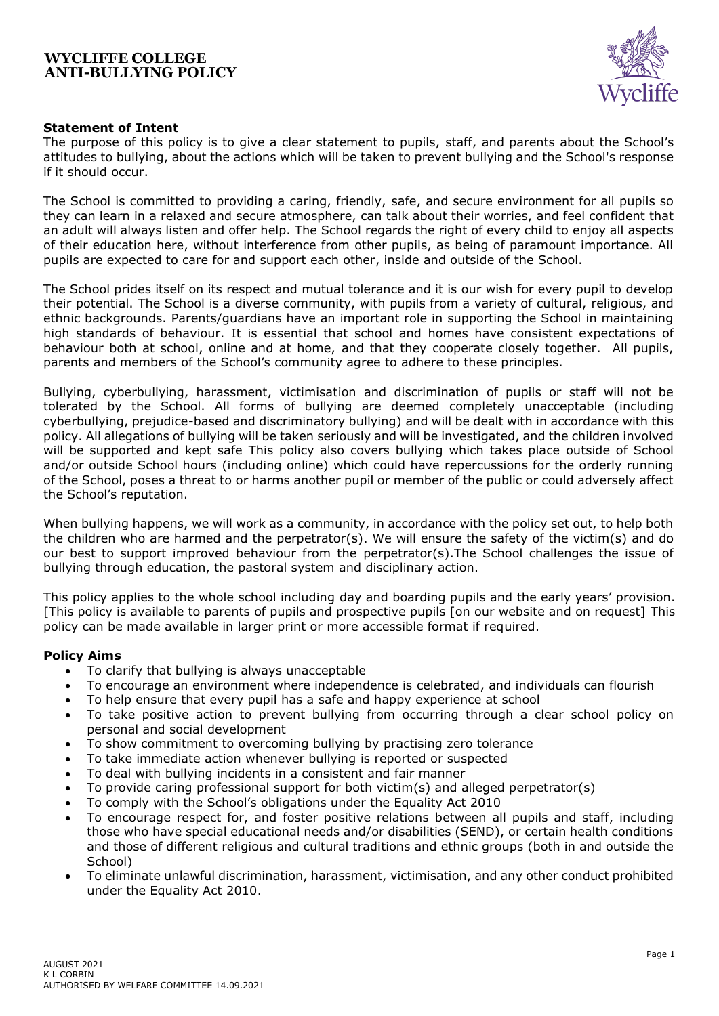

# **Statement of Intent**

The purpose of this policy is to give a clear statement to pupils, staff, and parents about the School's attitudes to bullying, about the actions which will be taken to prevent bullying and the School's response if it should occur.

The School is committed to providing a caring, friendly, safe, and secure environment for all pupils so they can learn in a relaxed and secure atmosphere, can talk about their worries, and feel confident that an adult will always listen and offer help. The School regards the right of every child to enjoy all aspects of their education here, without interference from other pupils, as being of paramount importance. All pupils are expected to care for and support each other, inside and outside of the School.

The School prides itself on its respect and mutual tolerance and it is our wish for every pupil to develop their potential. The School is a diverse community, with pupils from a variety of cultural, religious, and ethnic backgrounds. Parents/guardians have an important role in supporting the School in maintaining high standards of behaviour. It is essential that school and homes have consistent expectations of behaviour both at school, online and at home, and that they cooperate closely together. All pupils, parents and members of the School's community agree to adhere to these principles.

Bullying, cyberbullying, harassment, victimisation and discrimination of pupils or staff will not be tolerated by the School. All forms of bullying are deemed completely unacceptable (including cyberbullying, prejudice-based and discriminatory bullying) and will be dealt with in accordance with this policy. All allegations of bullying will be taken seriously and will be investigated, and the children involved will be supported and kept safe This policy also covers bullying which takes place outside of School and/or outside School hours (including online) which could have repercussions for the orderly running of the School, poses a threat to or harms another pupil or member of the public or could adversely affect the School's reputation.

When bullying happens, we will work as a community, in accordance with the policy set out, to help both the children who are harmed and the perpetrator(s). We will ensure the safety of the victim(s) and do our best to support improved behaviour from the perpetrator(s).The School challenges the issue of bullying through education, the pastoral system and disciplinary action.

This policy applies to the whole school including day and boarding pupils and the early years' provision. [This policy is available to parents of pupils and prospective pupils [on our website and on request] This policy can be made available in larger print or more accessible format if required.

## **Policy Aims**

- To clarify that bullying is always unacceptable
- To encourage an environment where independence is celebrated, and individuals can flourish
- To help ensure that every pupil has a safe and happy experience at school
- To take positive action to prevent bullying from occurring through a clear school policy on personal and social development
- To show commitment to overcoming bullying by practising zero tolerance
- To take immediate action whenever bullying is reported or suspected
- To deal with bullying incidents in a consistent and fair manner
- To provide caring professional support for both victim(s) and alleged perpetrator(s)
- To comply with the School's obligations under the Equality Act 2010
- To encourage respect for, and foster positive relations between all pupils and staff, including those who have special educational needs and/or disabilities (SEND), or certain health conditions and those of different religious and cultural traditions and ethnic groups (both in and outside the School)
- To eliminate unlawful discrimination, harassment, victimisation, and any other conduct prohibited under the Equality Act 2010.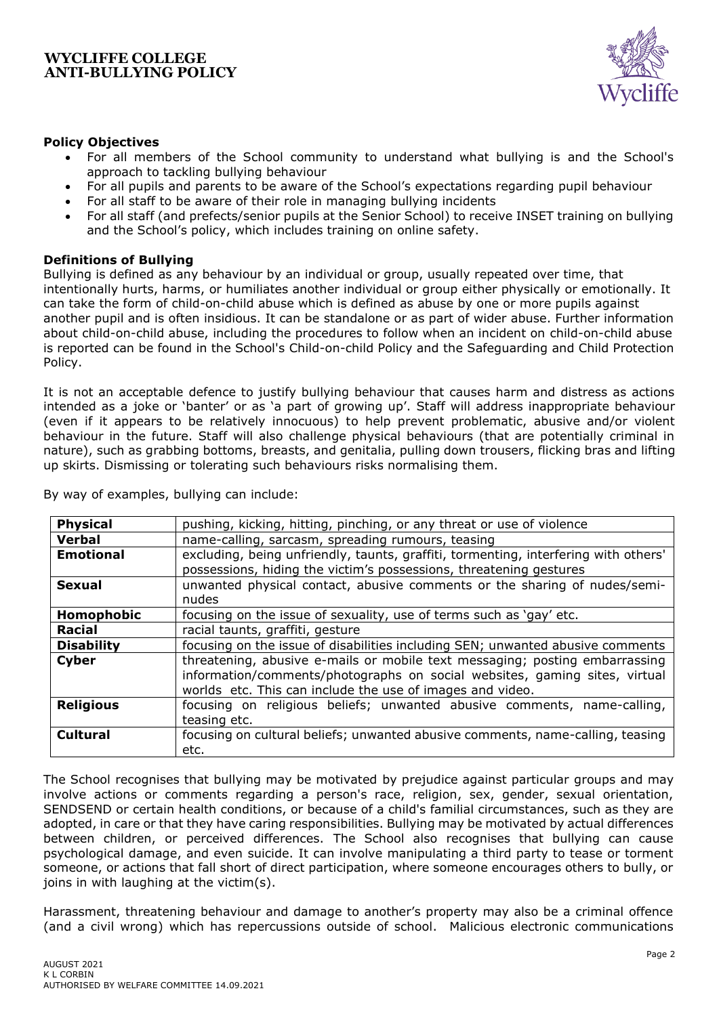

# **Policy Objectives**

- For all members of the School community to understand what bullying is and the School's approach to tackling bullying behaviour
- For all pupils and parents to be aware of the School's expectations regarding pupil behaviour
- For all staff to be aware of their role in managing bullying incidents
- For all staff (and prefects/senior pupils at the Senior School) to receive INSET training on bullying and the School's policy, which includes training on online safety.

## **Definitions of Bullying**

Bullying is defined as any behaviour by an individual or group, usually repeated over time, that intentionally hurts, harms, or humiliates another individual or group either physically or emotionally. It can take the form of child-on-child abuse which is defined as abuse by one or more pupils against another pupil and is often insidious. It can be standalone or as part of wider abuse. Further information about child-on-child abuse, including the procedures to follow when an incident on child-on-child abuse is reported can be found in the School's Child-on-child Policy and the Safeguarding and Child Protection Policy.

It is not an acceptable defence to justify bullying behaviour that causes harm and distress as actions intended as a joke or 'banter' or as 'a part of growing up'. Staff will address inappropriate behaviour (even if it appears to be relatively innocuous) to help prevent problematic, abusive and/or violent behaviour in the future. Staff will also challenge physical behaviours (that are potentially criminal in nature), such as grabbing bottoms, breasts, and genitalia, pulling down trousers, flicking bras and lifting up skirts. Dismissing or tolerating such behaviours risks normalising them.

| <b>Physical</b>   | pushing, kicking, hitting, pinching, or any threat or use of violence               |
|-------------------|-------------------------------------------------------------------------------------|
| <b>Verbal</b>     | name-calling, sarcasm, spreading rumours, teasing                                   |
| <b>Emotional</b>  | excluding, being unfriendly, taunts, graffiti, tormenting, interfering with others' |
|                   | possessions, hiding the victim's possessions, threatening gestures                  |
| <b>Sexual</b>     | unwanted physical contact, abusive comments or the sharing of nudes/semi-           |
|                   | nudes                                                                               |
| Homophobic        | focusing on the issue of sexuality, use of terms such as 'gay' etc.                 |
| <b>Racial</b>     | racial taunts, graffiti, gesture                                                    |
| <b>Disability</b> | focusing on the issue of disabilities including SEN; unwanted abusive comments      |
| <b>Cyber</b>      | threatening, abusive e-mails or mobile text messaging; posting embarrassing         |
|                   | information/comments/photographs on social websites, gaming sites, virtual          |
|                   | worlds etc. This can include the use of images and video.                           |
| <b>Religious</b>  | focusing on religious beliefs; unwanted abusive comments, name-calling,             |
|                   | teasing etc.                                                                        |
| <b>Cultural</b>   | focusing on cultural beliefs; unwanted abusive comments, name-calling, teasing      |
|                   | etc.                                                                                |

By way of examples, bullying can include:

The School recognises that bullying may be motivated by prejudice against particular groups and may involve actions or comments regarding a person's race, religion, sex, gender, sexual orientation, SENDSEND or certain health conditions, or because of a child's familial circumstances, such as they are adopted, in care or that they have caring responsibilities. Bullying may be motivated by actual differences between children, or perceived differences. The School also recognises that bullying can cause psychological damage, and even suicide. It can involve manipulating a third party to tease or torment someone, or actions that fall short of direct participation, where someone encourages others to bully, or joins in with laughing at the victim(s).

Harassment, threatening behaviour and damage to another's property may also be a criminal offence (and a civil wrong) which has repercussions outside of school. Malicious electronic communications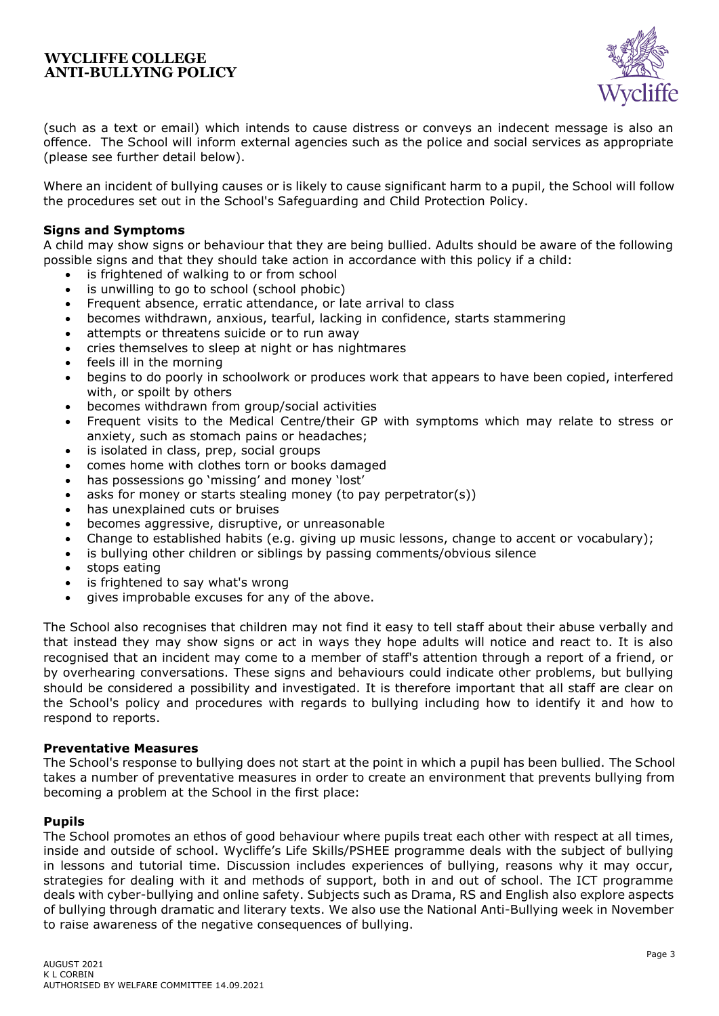

(such as a text or email) which intends to cause distress or conveys an indecent message is also an offence. The School will inform external agencies such as the police and social services as appropriate (please see further detail below).

Where an incident of bullying causes or is likely to cause significant harm to a pupil, the School will follow the procedures set out in the School's Safeguarding and Child Protection Policy.

## **Signs and Symptoms**

A child may show signs or behaviour that they are being bullied. Adults should be aware of the following possible signs and that they should take action in accordance with this policy if a child:

- is frightened of walking to or from school
- is unwilling to go to school (school phobic)
- Frequent absence, erratic attendance, or late arrival to class
- becomes withdrawn, anxious, tearful, lacking in confidence, starts stammering
- attempts or threatens suicide or to run away
- cries themselves to sleep at night or has nightmares
- feels ill in the morning
- begins to do poorly in schoolwork or produces work that appears to have been copied, interfered with, or spoilt by others
- becomes withdrawn from group/social activities
- Frequent visits to the Medical Centre/their GP with symptoms which may relate to stress or anxiety, such as stomach pains or headaches;
- is isolated in class, prep, social groups
- comes home with clothes torn or books damaged
- has possessions go 'missing' and money 'lost'
- asks for money or starts stealing money (to pay perpetrator(s))
- has unexplained cuts or bruises
- becomes aggressive, disruptive, or unreasonable
- Change to established habits (e.g. giving up music lessons, change to accent or vocabulary);
- is bullying other children or siblings by passing comments/obvious silence
- stops eating
- is frightened to say what's wrong
- gives improbable excuses for any of the above.

The School also recognises that children may not find it easy to tell staff about their abuse verbally and that instead they may show signs or act in ways they hope adults will notice and react to. It is also recognised that an incident may come to a member of staff's attention through a report of a friend, or by overhearing conversations. These signs and behaviours could indicate other problems, but bullying should be considered a possibility and investigated. It is therefore important that all staff are clear on the School's policy and procedures with regards to bullying including how to identify it and how to respond to reports.

## **Preventative Measures**

The School's response to bullying does not start at the point in which a pupil has been bullied. The School takes a number of preventative measures in order to create an environment that prevents bullying from becoming a problem at the School in the first place:

## **Pupils**

The School promotes an ethos of good behaviour where pupils treat each other with respect at all times, inside and outside of school. Wycliffe's Life Skills/PSHEE programme deals with the subject of bullying in lessons and tutorial time. Discussion includes experiences of bullying, reasons why it may occur, strategies for dealing with it and methods of support, both in and out of school. The ICT programme deals with cyber-bullying and online safety. Subjects such as Drama, RS and English also explore aspects of bullying through dramatic and literary texts. We also use the National Anti-Bullying week in November to raise awareness of the negative consequences of bullying.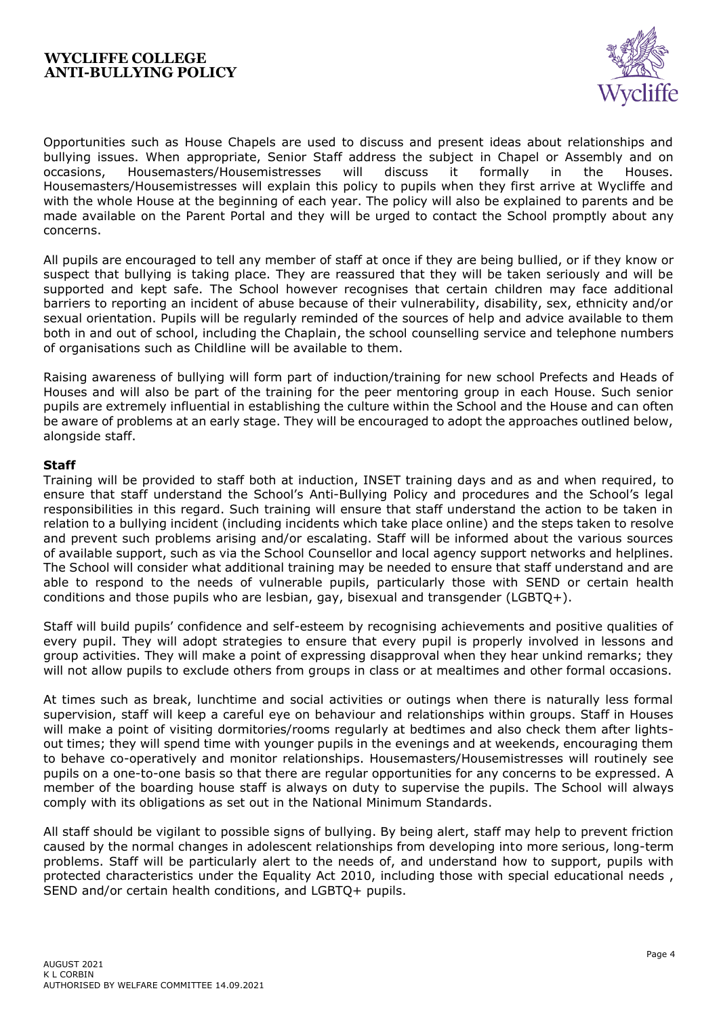

Opportunities such as House Chapels are used to discuss and present ideas about relationships and bullying issues. When appropriate, Senior Staff address the subject in Chapel or Assembly and on occasions, Housemasters/Housemistresses will discuss it formally in the Houses. Housemasters/Housemistresses will explain this policy to pupils when they first arrive at Wycliffe and with the whole House at the beginning of each year. The policy will also be explained to parents and be made available on the Parent Portal and they will be urged to contact the School promptly about any concerns.

All pupils are encouraged to tell any member of staff at once if they are being bullied, or if they know or suspect that bullying is taking place. They are reassured that they will be taken seriously and will be supported and kept safe. The School however recognises that certain children may face additional barriers to reporting an incident of abuse because of their vulnerability, disability, sex, ethnicity and/or sexual orientation. Pupils will be regularly reminded of the sources of help and advice available to them both in and out of school, including the Chaplain, the school counselling service and telephone numbers of organisations such as Childline will be available to them.

Raising awareness of bullying will form part of induction/training for new school Prefects and Heads of Houses and will also be part of the training for the peer mentoring group in each House. Such senior pupils are extremely influential in establishing the culture within the School and the House and can often be aware of problems at an early stage. They will be encouraged to adopt the approaches outlined below, alongside staff.

## **Staff**

Training will be provided to staff both at induction, INSET training days and as and when required, to ensure that staff understand the School's Anti-Bullying Policy and procedures and the School's legal responsibilities in this regard. Such training will ensure that staff understand the action to be taken in relation to a bullying incident (including incidents which take place online) and the steps taken to resolve and prevent such problems arising and/or escalating. Staff will be informed about the various sources of available support, such as via the School Counsellor and local agency support networks and helplines. The School will consider what additional training may be needed to ensure that staff understand and are able to respond to the needs of vulnerable pupils, particularly those with SEND or certain health conditions and those pupils who are lesbian, gay, bisexual and transgender (LGBTQ+).

Staff will build pupils' confidence and self-esteem by recognising achievements and positive qualities of every pupil. They will adopt strategies to ensure that every pupil is properly involved in lessons and group activities. They will make a point of expressing disapproval when they hear unkind remarks; they will not allow pupils to exclude others from groups in class or at mealtimes and other formal occasions.

At times such as break, lunchtime and social activities or outings when there is naturally less formal supervision, staff will keep a careful eye on behaviour and relationships within groups. Staff in Houses will make a point of visiting dormitories/rooms regularly at bedtimes and also check them after lightsout times; they will spend time with younger pupils in the evenings and at weekends, encouraging them to behave co-operatively and monitor relationships. Housemasters/Housemistresses will routinely see pupils on a one-to-one basis so that there are regular opportunities for any concerns to be expressed. A member of the boarding house staff is always on duty to supervise the pupils. The School will always comply with its obligations as set out in the National Minimum Standards.

All staff should be vigilant to possible signs of bullying. By being alert, staff may help to prevent friction caused by the normal changes in adolescent relationships from developing into more serious, long-term problems. Staff will be particularly alert to the needs of, and understand how to support, pupils with protected characteristics under the Equality Act 2010, including those with special educational needs , SEND and/or certain health conditions, and LGBTQ+ pupils.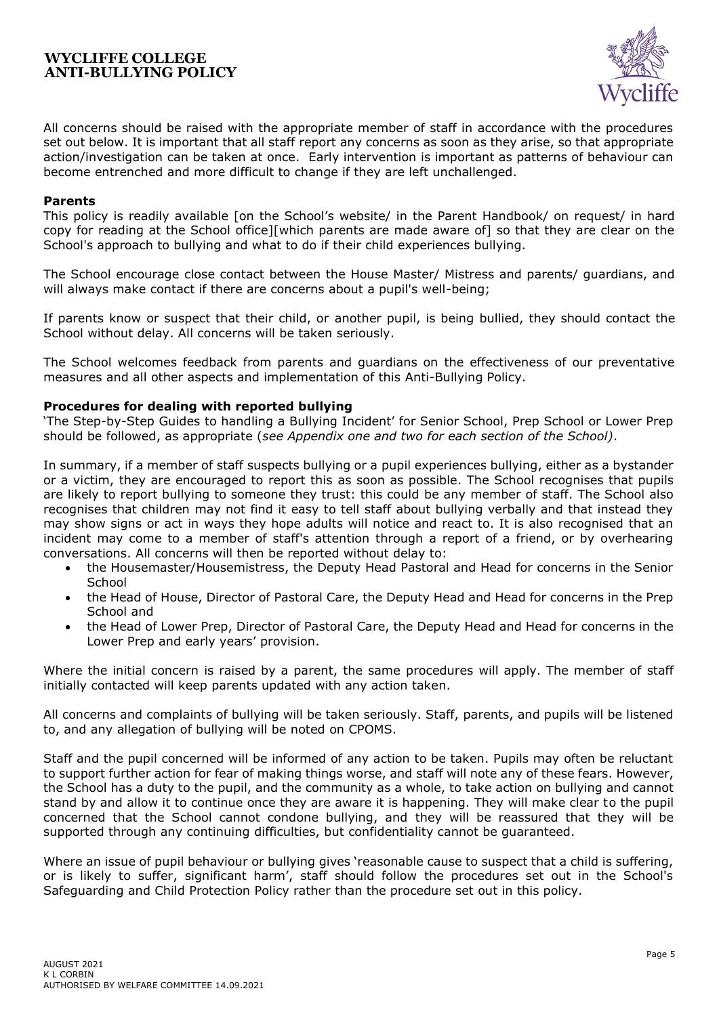![](_page_4_Picture_1.jpeg)

All concerns should be raised with the appropriate member of staff in accordance with the procedures set out below. It is important that all staff report any concerns as soon as they arise, so that appropriate action/investigation can be taken at once. Early intervention is important as patterns of behaviour can become entrenched and more difficult to change if they are left unchallenged.

### **Parents**

This policy is readily available [on the School's website/ in the Parent Handbook/ on request/ in hard copy for reading at the School office][which parents are made aware of] so that they are clear on the School's approach to bullying and what to do if their child experiences bullying.

The School encourage close contact between the House Master/ Mistress and parents/ guardians, and will always make contact if there are concerns about a pupil's well-being;

If parents know or suspect that their child, or another pupil, is being bullied, they should contact the School without delay. All concerns will be taken seriously.

The School welcomes feedback from parents and guardians on the effectiveness of our preventative measures and all other aspects and implementation of this Anti-Bullying Policy.

#### **Procedures for dealing with reported bullying**

'The Step-by-Step Guides to handling a Bullying Incident' for Senior School, Prep School or Lower Prep should be followed, as appropriate (*see Appendix one and two for each section of the School)*.

In summary, if a member of staff suspects bullying or a pupil experiences bullying, either as a bystander or a victim, they are encouraged to report this as soon as possible. The School recognises that pupils are likely to report bullying to someone they trust: this could be any member of staff. The School also recognises that children may not find it easy to tell staff about bullying verbally and that instead they may show signs or act in ways they hope adults will notice and react to. It is also recognised that an incident may come to a member of staff's attention through a report of a friend, or by overhearing conversations. All concerns will then be reported without delay to:

- the Housemaster/Housemistress, the Deputy Head Pastoral and Head for concerns in the Senior **School**
- the Head of House, Director of Pastoral Care, the Deputy Head and Head for concerns in the Prep School and
- the Head of Lower Prep, Director of Pastoral Care, the Deputy Head and Head for concerns in the Lower Prep and early years' provision.

Where the initial concern is raised by a parent, the same procedures will apply. The member of staff initially contacted will keep parents updated with any action taken.

All concerns and complaints of bullying will be taken seriously. Staff, parents, and pupils will be listened to, and any allegation of bullying will be noted on CPOMS.

Staff and the pupil concerned will be informed of any action to be taken. Pupils may often be reluctant to support further action for fear of making things worse, and staff will note any of these fears. However, the School has a duty to the pupil, and the community as a whole, to take action on bullying and cannot stand by and allow it to continue once they are aware it is happening. They will make clear to the pupil concerned that the School cannot condone bullying, and they will be reassured that they will be supported through any continuing difficulties, but confidentiality cannot be guaranteed.

Where an issue of pupil behaviour or bullying gives 'reasonable cause to suspect that a child is suffering, or is likely to suffer, significant harm', staff should follow the procedures set out in the School's Safeguarding and Child Protection Policy rather than the procedure set out in this policy.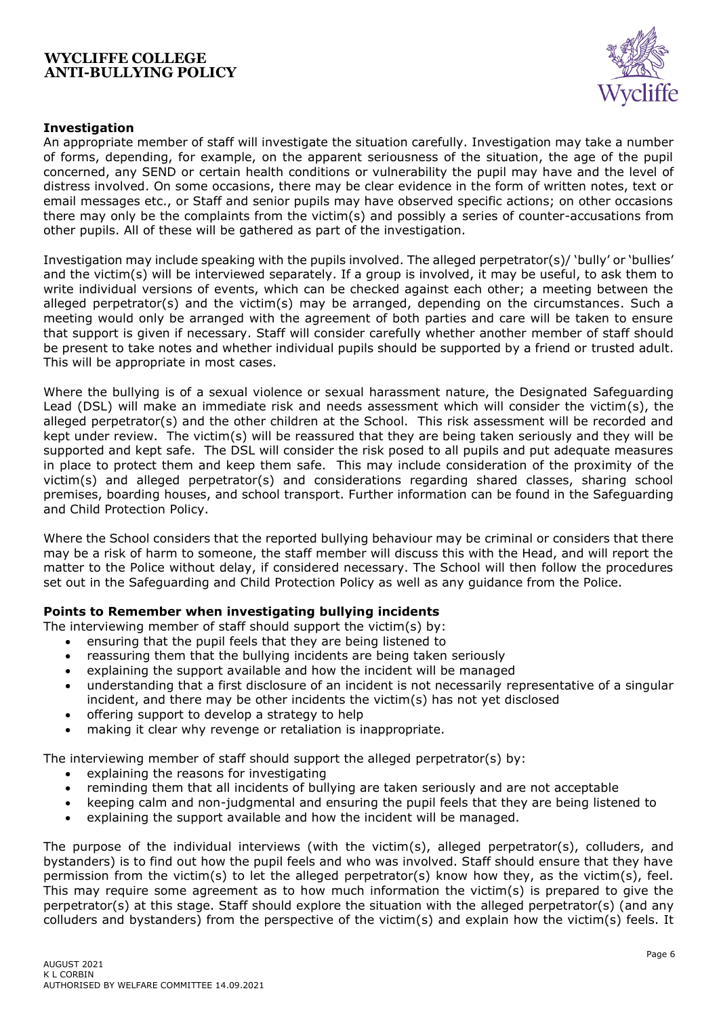![](_page_5_Picture_1.jpeg)

# **Investigation**

An appropriate member of staff will investigate the situation carefully. Investigation may take a number of forms, depending, for example, on the apparent seriousness of the situation, the age of the pupil concerned, any SEND or certain health conditions or vulnerability the pupil may have and the level of distress involved. On some occasions, there may be clear evidence in the form of written notes, text or email messages etc., or Staff and senior pupils may have observed specific actions; on other occasions there may only be the complaints from the victim(s) and possibly a series of counter-accusations from other pupils. All of these will be gathered as part of the investigation.

Investigation may include speaking with the pupils involved. The alleged perpetrator(s)/ 'bully' or 'bullies' and the victim(s) will be interviewed separately. If a group is involved, it may be useful, to ask them to write individual versions of events, which can be checked against each other; a meeting between the alleged perpetrator(s) and the victim(s) may be arranged, depending on the circumstances. Such a meeting would only be arranged with the agreement of both parties and care will be taken to ensure that support is given if necessary. Staff will consider carefully whether another member of staff should be present to take notes and whether individual pupils should be supported by a friend or trusted adult. This will be appropriate in most cases.

Where the bullying is of a sexual violence or sexual harassment nature, the Designated Safeguarding Lead (DSL) will make an immediate risk and needs assessment which will consider the victim(s), the alleged perpetrator(s) and the other children at the School. This risk assessment will be recorded and kept under review. The victim(s) will be reassured that they are being taken seriously and they will be supported and kept safe. The DSL will consider the risk posed to all pupils and put adequate measures in place to protect them and keep them safe. This may include consideration of the proximity of the victim(s) and alleged perpetrator(s) and considerations regarding shared classes, sharing school premises, boarding houses, and school transport. Further information can be found in the Safeguarding and Child Protection Policy.

Where the School considers that the reported bullying behaviour may be criminal or considers that there may be a risk of harm to someone, the staff member will discuss this with the Head, and will report the matter to the Police without delay, if considered necessary. The School will then follow the procedures set out in the Safeguarding and Child Protection Policy as well as any guidance from the Police.

# **Points to Remember when investigating bullying incidents**

The interviewing member of staff should support the victim(s) by:

- ensuring that the pupil feels that they are being listened to
- reassuring them that the bullying incidents are being taken seriously
- explaining the support available and how the incident will be managed
- understanding that a first disclosure of an incident is not necessarily representative of a singular incident, and there may be other incidents the victim(s) has not yet disclosed
- offering support to develop a strategy to help
- making it clear why revenge or retaliation is inappropriate.

The interviewing member of staff should support the alleged perpetrator(s) by:

- explaining the reasons for investigating
- reminding them that all incidents of bullying are taken seriously and are not acceptable
- keeping calm and non-judgmental and ensuring the pupil feels that they are being listened to
- explaining the support available and how the incident will be managed.

The purpose of the individual interviews (with the victim(s), alleged perpetrator(s), colluders, and bystanders) is to find out how the pupil feels and who was involved. Staff should ensure that they have permission from the victim(s) to let the alleged perpetrator(s) know how they, as the victim(s), feel. This may require some agreement as to how much information the victim(s) is prepared to give the perpetrator(s) at this stage. Staff should explore the situation with the alleged perpetrator(s) (and any colluders and bystanders) from the perspective of the victim(s) and explain how the victim(s) feels. It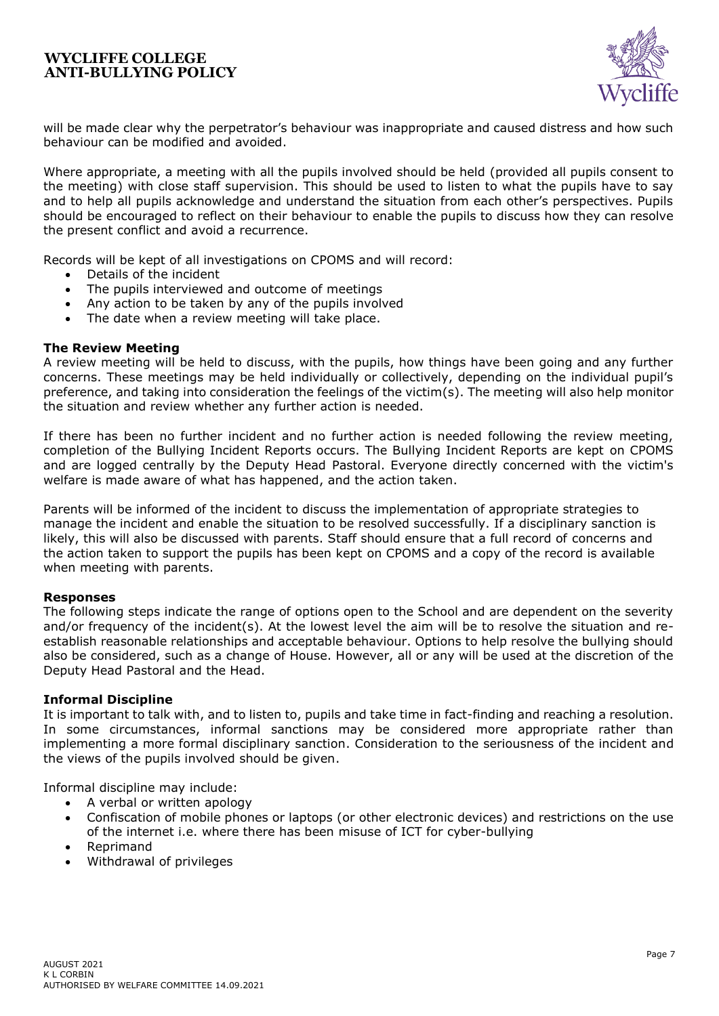![](_page_6_Picture_1.jpeg)

will be made clear why the perpetrator's behaviour was inappropriate and caused distress and how such behaviour can be modified and avoided.

Where appropriate, a meeting with all the pupils involved should be held (provided all pupils consent to the meeting) with close staff supervision. This should be used to listen to what the pupils have to say and to help all pupils acknowledge and understand the situation from each other's perspectives. Pupils should be encouraged to reflect on their behaviour to enable the pupils to discuss how they can resolve the present conflict and avoid a recurrence.

Records will be kept of all investigations on CPOMS and will record:

- Details of the incident
- The pupils interviewed and outcome of meetings
- Any action to be taken by any of the pupils involved
- The date when a review meeting will take place.

#### **The Review Meeting**

A review meeting will be held to discuss, with the pupils, how things have been going and any further concerns. These meetings may be held individually or collectively, depending on the individual pupil's preference, and taking into consideration the feelings of the victim(s). The meeting will also help monitor the situation and review whether any further action is needed.

If there has been no further incident and no further action is needed following the review meeting, completion of the Bullying Incident Reports occurs. The Bullying Incident Reports are kept on CPOMS and are logged centrally by the Deputy Head Pastoral. Everyone directly concerned with the victim's welfare is made aware of what has happened, and the action taken.

Parents will be informed of the incident to discuss the implementation of appropriate strategies to manage the incident and enable the situation to be resolved successfully. If a disciplinary sanction is likely, this will also be discussed with parents. Staff should ensure that a full record of concerns and the action taken to support the pupils has been kept on CPOMS and a copy of the record is available when meeting with parents.

#### **Responses**

The following steps indicate the range of options open to the School and are dependent on the severity and/or frequency of the incident(s). At the lowest level the aim will be to resolve the situation and reestablish reasonable relationships and acceptable behaviour. Options to help resolve the bullying should also be considered, such as a change of House. However, all or any will be used at the discretion of the Deputy Head Pastoral and the Head.

## **Informal Discipline**

It is important to talk with, and to listen to, pupils and take time in fact-finding and reaching a resolution. In some circumstances, informal sanctions may be considered more appropriate rather than implementing a more formal disciplinary sanction. Consideration to the seriousness of the incident and the views of the pupils involved should be given.

Informal discipline may include:

- A verbal or written apology
- Confiscation of mobile phones or laptops (or other electronic devices) and restrictions on the use of the internet i.e. where there has been misuse of ICT for cyber-bullying
- Reprimand
- Withdrawal of privileges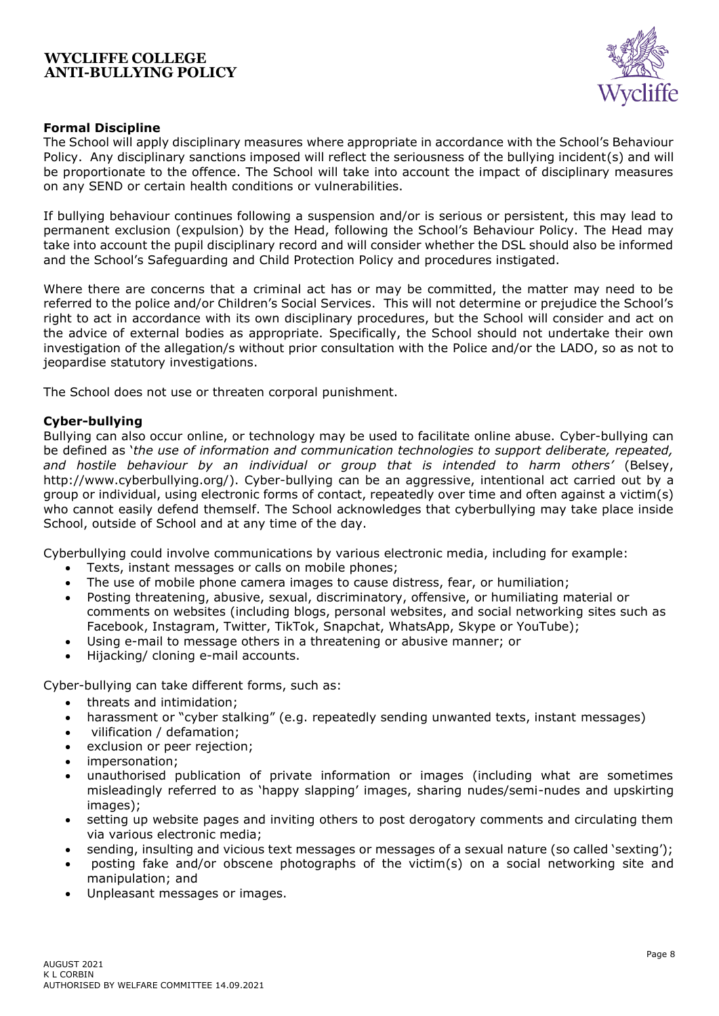![](_page_7_Picture_1.jpeg)

# **Formal Discipline**

The School will apply disciplinary measures where appropriate in accordance with the School's Behaviour Policy. Any disciplinary sanctions imposed will reflect the seriousness of the bullying incident(s) and will be proportionate to the offence. The School will take into account the impact of disciplinary measures on any SEND or certain health conditions or vulnerabilities.

If bullying behaviour continues following a suspension and/or is serious or persistent, this may lead to permanent exclusion (expulsion) by the Head, following the School's Behaviour Policy. The Head may take into account the pupil disciplinary record and will consider whether the DSL should also be informed and the School's Safeguarding and Child Protection Policy and procedures instigated.

Where there are concerns that a criminal act has or may be committed, the matter may need to be referred to the police and/or Children's Social Services. This will not determine or prejudice the School's right to act in accordance with its own disciplinary procedures, but the School will consider and act on the advice of external bodies as appropriate. Specifically, the School should not undertake their own investigation of the allegation/s without prior consultation with the Police and/or the LADO, so as not to jeopardise statutory investigations.

The School does not use or threaten corporal punishment.

## **Cyber-bullying**

Bullying can also occur online, or technology may be used to facilitate online abuse. Cyber-bullying can be defined as '*the use of information and communication technologies to support deliberate, repeated, and hostile behaviour by an individual or group that is intended to harm others'* (Belsey, [http://www.cyberbullying.org/\)](http://www.cyberbullying.org/). Cyber-bullying can be an aggressive, intentional act carried out by a group or individual, using electronic forms of contact, repeatedly over time and often against a victim(s) who cannot easily defend themself. The School acknowledges that cyberbullying may take place inside School, outside of School and at any time of the day.

Cyberbullying could involve communications by various electronic media, including for example:

- Texts, instant messages or calls on mobile phones;
- The use of mobile phone camera images to cause distress, fear, or humiliation;
- Posting threatening, abusive, sexual, discriminatory, offensive, or humiliating material or comments on websites (including blogs, personal websites, and social networking sites such as Facebook, Instagram, Twitter, TikTok, Snapchat, WhatsApp, Skype or YouTube);
- Using e-mail to message others in a threatening or abusive manner; or
- Hijacking/ cloning e-mail accounts.

Cyber-bullying can take different forms, such as:

- threats and intimidation;
- harassment or "cyber stalking" (e.g. repeatedly sending unwanted texts, instant messages)
- vilification / defamation;
- exclusion or peer rejection;
- impersonation:
- unauthorised publication of private information or images (including what are sometimes misleadingly referred to as 'happy slapping' images, sharing nudes/semi-nudes and upskirting images):
- setting up website pages and inviting others to post derogatory comments and circulating them via various electronic media;
- sending, insulting and vicious text messages or messages of a sexual nature (so called 'sexting');
- posting fake and/or obscene photographs of the victim(s) on a social networking site and manipulation; and
- Unpleasant messages or images.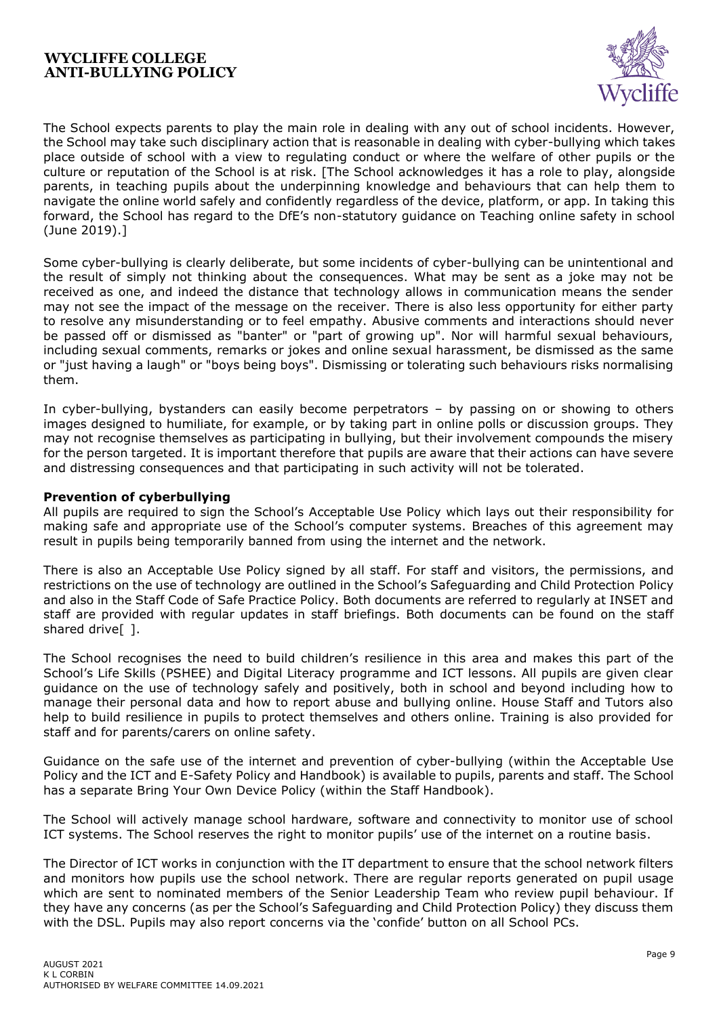![](_page_8_Picture_1.jpeg)

The School expects parents to play the main role in dealing with any out of school incidents. However, the School may take such disciplinary action that is reasonable in dealing with cyber-bullying which takes place outside of school with a view to regulating conduct or where the welfare of other pupils or the culture or reputation of the School is at risk. [The School acknowledges it has a role to play, alongside parents, in teaching pupils about the underpinning knowledge and behaviours that can help them to navigate the online world safely and confidently regardless of the device, platform, or app. In taking this forward, the School has regard to the DfE's non-statutory guidance on Teaching online safety in school (June 2019).]

Some cyber-bullying is clearly deliberate, but some incidents of cyber-bullying can be unintentional and the result of simply not thinking about the consequences. What may be sent as a joke may not be received as one, and indeed the distance that technology allows in communication means the sender may not see the impact of the message on the receiver. There is also less opportunity for either party to resolve any misunderstanding or to feel empathy. Abusive comments and interactions should never be passed off or dismissed as "banter" or "part of growing up". Nor will harmful sexual behaviours, including sexual comments, remarks or jokes and online sexual harassment, be dismissed as the same or "just having a laugh" or "boys being boys". Dismissing or tolerating such behaviours risks normalising them.

In cyber-bullying, bystanders can easily become perpetrators – by passing on or showing to others images designed to humiliate, for example, or by taking part in online polls or discussion groups. They may not recognise themselves as participating in bullying, but their involvement compounds the misery for the person targeted. It is important therefore that pupils are aware that their actions can have severe and distressing consequences and that participating in such activity will not be tolerated.

# **Prevention of cyberbullying**

All pupils are required to sign the School's Acceptable Use Policy which lays out their responsibility for making safe and appropriate use of the School's computer systems. Breaches of this agreement may result in pupils being temporarily banned from using the internet and the network.

There is also an Acceptable Use Policy signed by all staff. For staff and visitors, the permissions, and restrictions on the use of technology are outlined in the School's Safeguarding and Child Protection Policy and also in the Staff Code of Safe Practice Policy. Both documents are referred to regularly at INSET and staff are provided with regular updates in staff briefings. Both documents can be found on the staff shared drive<sup>[1]</sup>.

The School recognises the need to build children's resilience in this area and makes this part of the School's Life Skills (PSHEE) and Digital Literacy programme and ICT lessons. All pupils are given clear guidance on the use of technology safely and positively, both in school and beyond including how to manage their personal data and how to report abuse and bullying online. House Staff and Tutors also help to build resilience in pupils to protect themselves and others online. Training is also provided for staff and for parents/carers on online safety.

Guidance on the safe use of the internet and prevention of cyber-bullying (within the Acceptable Use Policy and the ICT and E-Safety Policy and Handbook) is available to pupils, parents and staff. The School has a separate Bring Your Own Device Policy (within the Staff Handbook).

The School will actively manage school hardware, software and connectivity to monitor use of school ICT systems. The School reserves the right to monitor pupils' use of the internet on a routine basis.

The Director of ICT works in conjunction with the IT department to ensure that the school network filters and monitors how pupils use the school network. There are regular reports generated on pupil usage which are sent to nominated members of the Senior Leadership Team who review pupil behaviour. If they have any concerns (as per the School's Safeguarding and Child Protection Policy) they discuss them with the DSL. Pupils may also report concerns via the 'confide' button on all School PCs.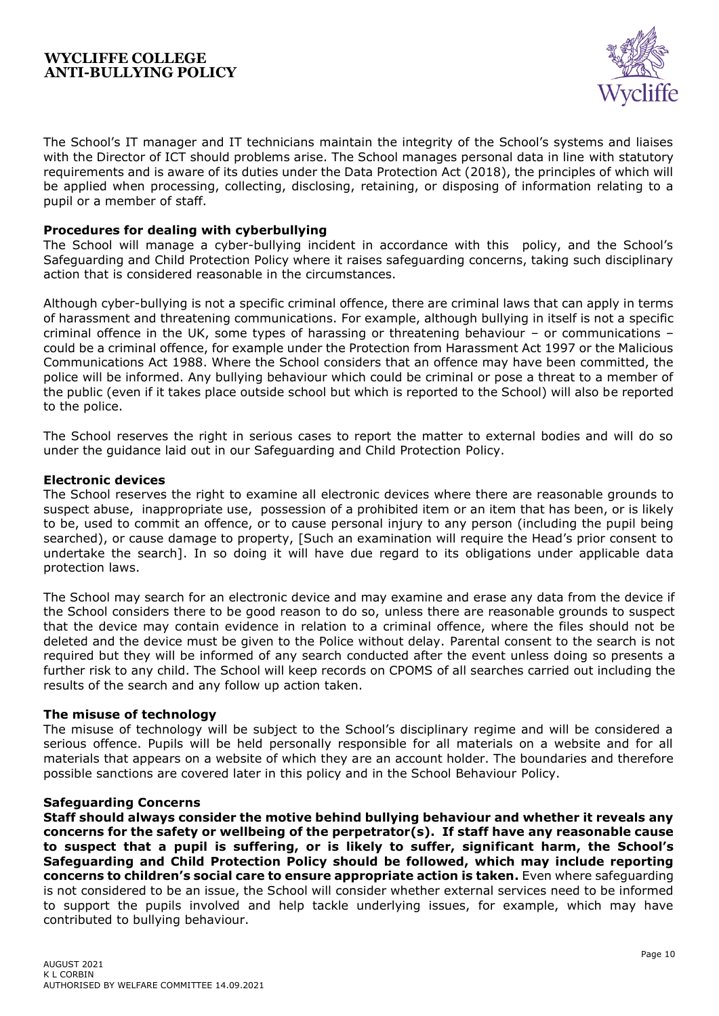![](_page_9_Picture_1.jpeg)

The School's IT manager and IT technicians maintain the integrity of the School's systems and liaises with the Director of ICT should problems arise. The School manages personal data in line with statutory requirements and is aware of its duties under the Data Protection Act (2018), the principles of which will be applied when processing, collecting, disclosing, retaining, or disposing of information relating to a pupil or a member of staff.

## **Procedures for dealing with cyberbullying**

The School will manage a cyber-bullying incident in accordance with this policy, and the School's Safeguarding and Child Protection Policy where it raises safeguarding concerns, taking such disciplinary action that is considered reasonable in the circumstances.

Although cyber-bullying is not a specific criminal offence, there are criminal laws that can apply in terms of harassment and threatening communications. For example, although bullying in itself is not a specific criminal offence in the UK, some types of harassing or threatening behaviour – or communications – could be a criminal offence, for example under the Protection from Harassment Act 1997 or the Malicious Communications Act 1988. Where the School considers that an offence may have been committed, the police will be informed. Any bullying behaviour which could be criminal or pose a threat to a member of the public (even if it takes place outside school but which is reported to the School) will also be reported to the police.

The School reserves the right in serious cases to report the matter to external bodies and will do so under the guidance laid out in our Safeguarding and Child Protection Policy.

## **Electronic devices**

The School reserves the right to examine all electronic devices where there are reasonable grounds to suspect abuse, inappropriate use, possession of a prohibited item or an item that has been, or is likely to be, used to commit an offence, or to cause personal injury to any person (including the pupil being searched), or cause damage to property, [Such an examination will require the Head's prior consent to undertake the search]. In so doing it will have due regard to its obligations under applicable data protection laws.

The School may search for an electronic device and may examine and erase any data from the device if the School considers there to be good reason to do so, unless there are reasonable grounds to suspect that the device may contain evidence in relation to a criminal offence, where the files should not be deleted and the device must be given to the Police without delay. Parental consent to the search is not required but they will be informed of any search conducted after the event unless doing so presents a further risk to any child. The School will keep records on CPOMS of all searches carried out including the results of the search and any follow up action taken.

## **The misuse of technology**

The misuse of technology will be subject to the School's disciplinary regime and will be considered a serious offence. Pupils will be held personally responsible for all materials on a website and for all materials that appears on a website of which they are an account holder. The boundaries and therefore possible sanctions are covered later in this policy and in the School Behaviour Policy.

## **Safeguarding Concerns**

**Staff should always consider the motive behind bullying behaviour and whether it reveals any concerns for the safety or wellbeing of the perpetrator(s). If staff have any reasonable cause to suspect that a pupil is suffering, or is likely to suffer, significant harm, the School's Safeguarding and Child Protection Policy should be followed, which may include reporting concerns to children's social care to ensure appropriate action is taken.** Even where safeguarding is not considered to be an issue, the School will consider whether external services need to be informed to support the pupils involved and help tackle underlying issues, for example, which may have contributed to bullying behaviour.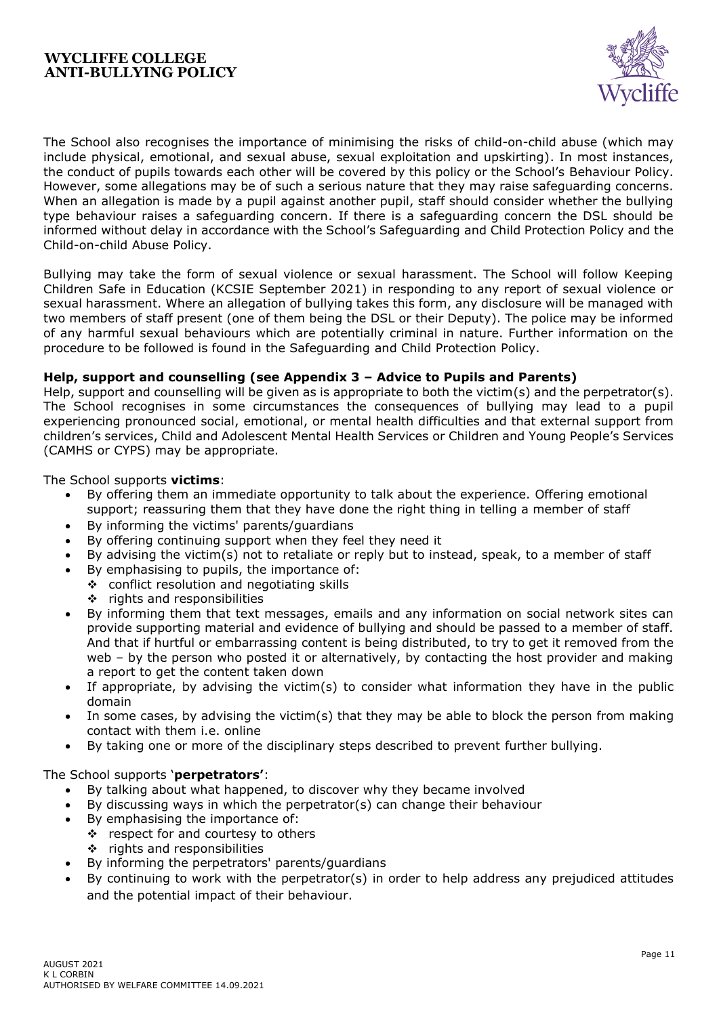![](_page_10_Picture_1.jpeg)

The School also recognises the importance of minimising the risks of child-on-child abuse (which may include physical, emotional, and sexual abuse, sexual exploitation and upskirting). In most instances, the conduct of pupils towards each other will be covered by this policy or the School's Behaviour Policy. However, some allegations may be of such a serious nature that they may raise safeguarding concerns. When an allegation is made by a pupil against another pupil, staff should consider whether the bullying type behaviour raises a safeguarding concern. If there is a safeguarding concern the DSL should be informed without delay in accordance with the School's Safeguarding and Child Protection Policy and the Child-on-child Abuse Policy.

Bullying may take the form of sexual violence or sexual harassment. The School will follow Keeping Children Safe in Education (KCSIE September 2021) in responding to any report of sexual violence or sexual harassment. Where an allegation of bullying takes this form, any disclosure will be managed with two members of staff present (one of them being the DSL or their Deputy). The police may be informed of any harmful sexual behaviours which are potentially criminal in nature. Further information on the procedure to be followed is found in the Safeguarding and Child Protection Policy.

# **Help, support and counselling (see Appendix 3 – Advice to Pupils and Parents)**

Help, support and counselling will be given as is appropriate to both the victim(s) and the perpetrator(s). The School recognises in some circumstances the consequences of bullying may lead to a pupil experiencing pronounced social, emotional, or mental health difficulties and that external support from children's services, Child and Adolescent Mental Health Services or Children and Young People's Services (CAMHS or CYPS) may be appropriate.

The School supports **victims**:

- By offering them an immediate opportunity to talk about the experience. Offering emotional support; reassuring them that they have done the right thing in telling a member of staff
- By informing the victims' parents/guardians
- By offering continuing support when they feel they need it
- By advising the victim(s) not to retaliate or reply but to instead, speak, to a member of staff
- By emphasising to pupils, the importance of:
	- ❖ conflict resolution and negotiating skills
		- ❖ rights and responsibilities
- By informing them that text messages, emails and any information on social network sites can provide supporting material and evidence of bullying and should be passed to a member of staff. And that if hurtful or embarrassing content is being distributed, to try to get it removed from the web - by the person who posted it or alternatively, by contacting the host provider and making a report to get the content taken down
- If appropriate, by advising the victim(s) to consider what information they have in the public domain
- In some cases, by advising the victim(s) that they may be able to block the person from making contact with them i.e. online
- By taking one or more of the disciplinary steps described to prevent further bullying.

## The School supports '**perpetrators'**:

- By talking about what happened, to discover why they became involved
- By discussing ways in which the perpetrator(s) can change their behaviour
- By emphasising the importance of:
	- ❖ respect for and courtesy to others
	- ❖ rights and responsibilities
- By informing the perpetrators' parents/guardians
- By continuing to work with the perpetrator(s) in order to help address any prejudiced attitudes and the potential impact of their behaviour.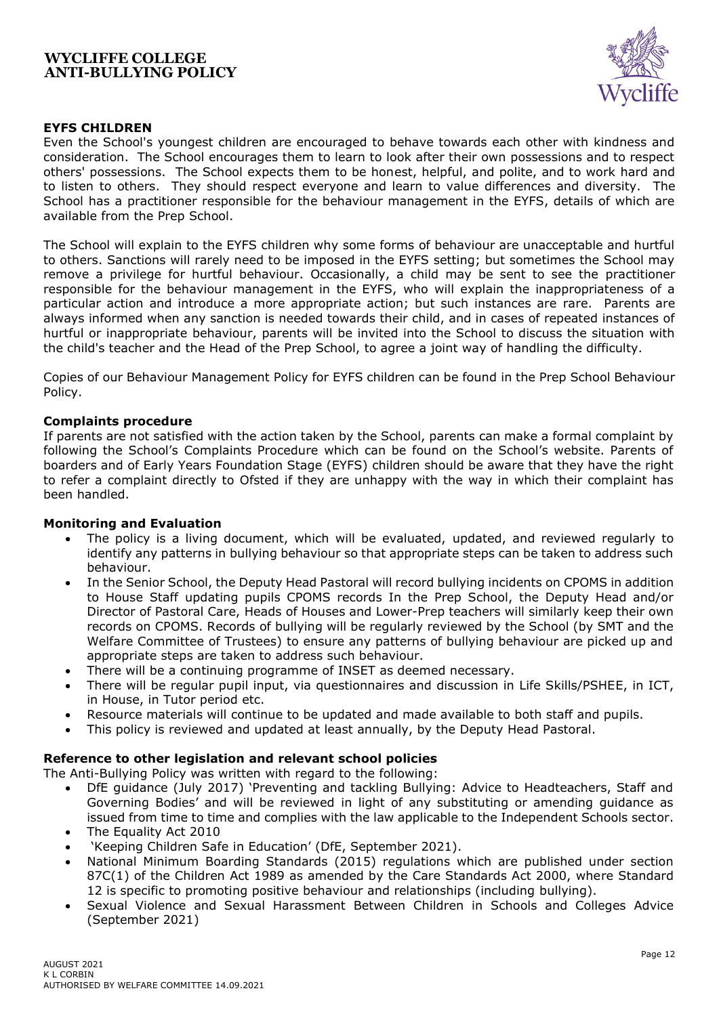![](_page_11_Picture_1.jpeg)

## **EYFS CHILDREN**

Even the School's youngest children are encouraged to behave towards each other with kindness and consideration. The School encourages them to learn to look after their own possessions and to respect others' possessions. The School expects them to be honest, helpful, and polite, and to work hard and to listen to others. They should respect everyone and learn to value differences and diversity. The School has a practitioner responsible for the behaviour management in the EYFS, details of which are available from the Prep School.

The School will explain to the EYFS children why some forms of behaviour are unacceptable and hurtful to others. Sanctions will rarely need to be imposed in the EYFS setting; but sometimes the School may remove a privilege for hurtful behaviour. Occasionally, a child may be sent to see the practitioner responsible for the behaviour management in the EYFS, who will explain the inappropriateness of a particular action and introduce a more appropriate action; but such instances are rare. Parents are always informed when any sanction is needed towards their child, and in cases of repeated instances of hurtful or inappropriate behaviour, parents will be invited into the School to discuss the situation with the child's teacher and the Head of the Prep School, to agree a joint way of handling the difficulty.

Copies of our Behaviour Management Policy for EYFS children can be found in the Prep School Behaviour Policy.

#### **Complaints procedure**

If parents are not satisfied with the action taken by the School, parents can make a formal complaint by following the School's Complaints Procedure which can be found on the School's website. Parents of boarders and of Early Years Foundation Stage (EYFS) children should be aware that they have the right to refer a complaint directly to Ofsted if they are unhappy with the way in which their complaint has been handled.

#### **Monitoring and Evaluation**

- The policy is a living document, which will be evaluated, updated, and reviewed regularly to identify any patterns in bullying behaviour so that appropriate steps can be taken to address such behaviour.
- In the Senior School, the Deputy Head Pastoral will record bullying incidents on CPOMS in addition to House Staff updating pupils CPOMS records In the Prep School, the Deputy Head and/or Director of Pastoral Care, Heads of Houses and Lower-Prep teachers will similarly keep their own records on CPOMS. Records of bullying will be regularly reviewed by the School (by SMT and the Welfare Committee of Trustees) to ensure any patterns of bullying behaviour are picked up and appropriate steps are taken to address such behaviour.
- There will be a continuing programme of INSET as deemed necessary.
- There will be regular pupil input, via questionnaires and discussion in Life Skills/PSHEE, in ICT, in House, in Tutor period etc.
- Resource materials will continue to be updated and made available to both staff and pupils.
- This policy is reviewed and updated at least annually, by the Deputy Head Pastoral.

#### **Reference to other legislation and relevant school policies**

The Anti-Bullying Policy was written with regard to the following:

- DfE guidance (July 2017) 'Preventing and tackling Bullying: Advice to Headteachers, Staff and Governing Bodies' and will be reviewed in light of any substituting or amending guidance as issued from time to time and complies with the law applicable to the Independent Schools sector.
- The Equality Act 2010
- 'Keeping Children Safe in Education' (DfE, September 2021).
- National Minimum Boarding Standards (2015) regulations which are published under section 87C(1) of the Children Act 1989 as amended by the Care Standards Act 2000, where Standard 12 is specific to promoting positive behaviour and relationships (including bullying).
- Sexual Violence and Sexual Harassment Between Children in Schools and Colleges Advice (September 2021)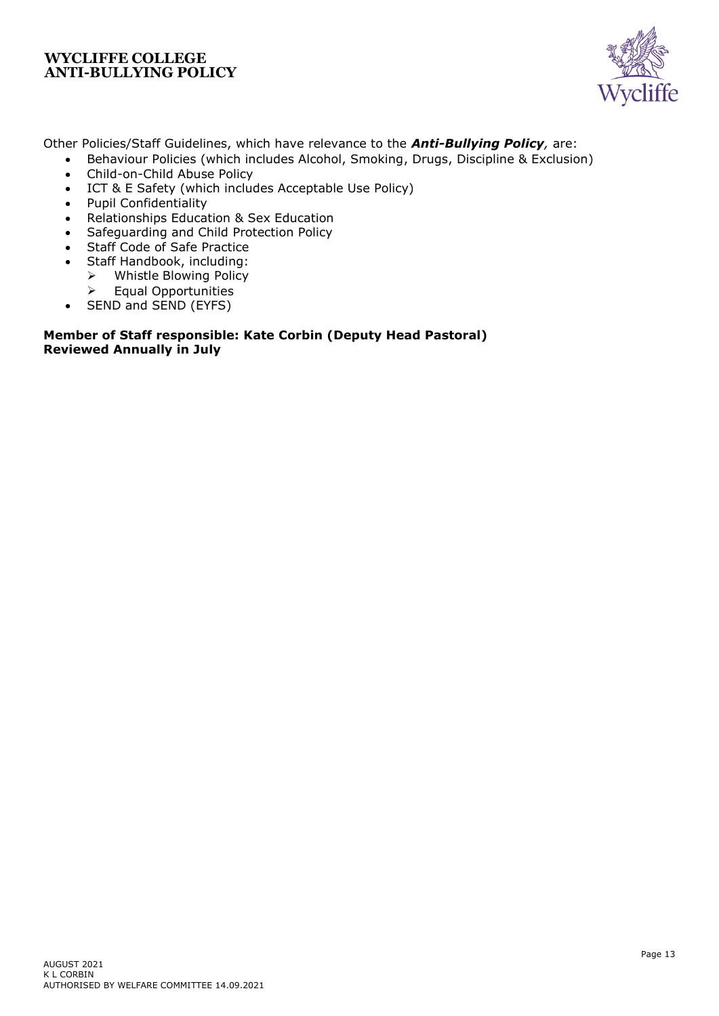![](_page_12_Picture_1.jpeg)

Other Policies/Staff Guidelines, which have relevance to the *Anti-Bullying Policy,* are:

- Behaviour Policies (which includes Alcohol, Smoking, Drugs, Discipline & Exclusion) • Child-on-Child Abuse Policy
- ICT & E Safety (which includes Acceptable Use Policy)
- Pupil Confidentiality
- Relationships Education & Sex Education
- Safeguarding and Child Protection Policy
- Staff Code of Safe Practice
- Staff Handbook, including:
	- ➢ Whistle Blowing Policy
	- ➢ Equal Opportunities
- SEND and SEND (EYFS)

# **Member of Staff responsible: Kate Corbin (Deputy Head Pastoral) Reviewed Annually in July**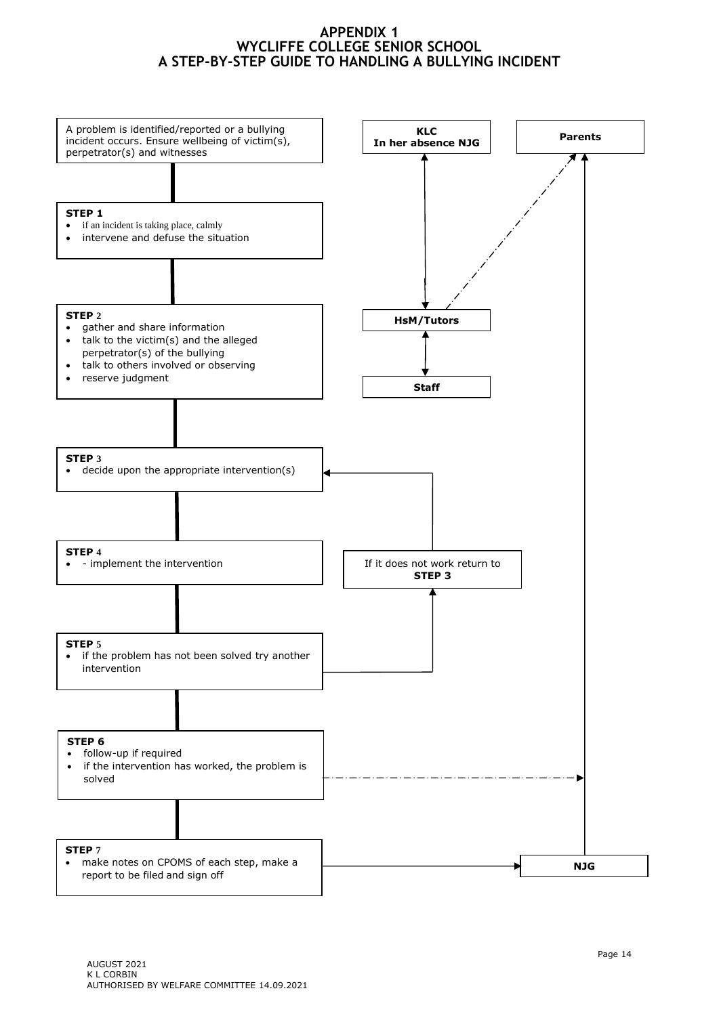# **APPENDIX 1 WYCLIFFE COLLEGE SENIOR SCHOOL A STEP-BY-STEP GUIDE TO HANDLING A BULLYING INCIDENT**

![](_page_13_Figure_1.jpeg)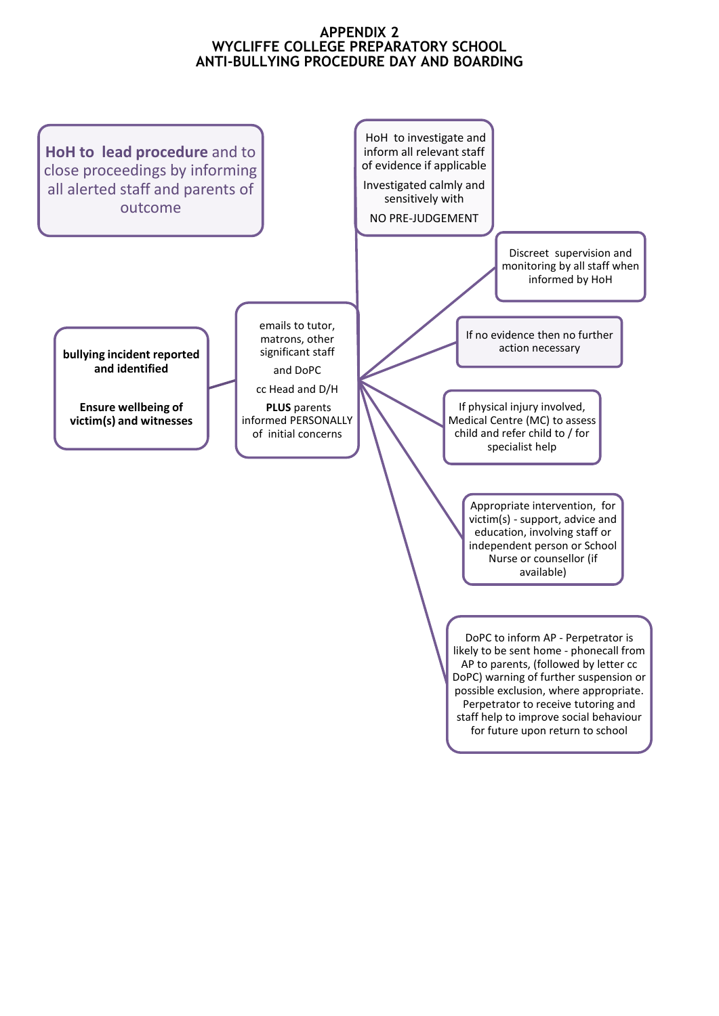# **APPENDIX 2 WYCLIFFE COLLEGE PREPARATORY SCHOOL ANTI-BULLYING PROCEDURE DAY AND BOARDING**

![](_page_14_Figure_1.jpeg)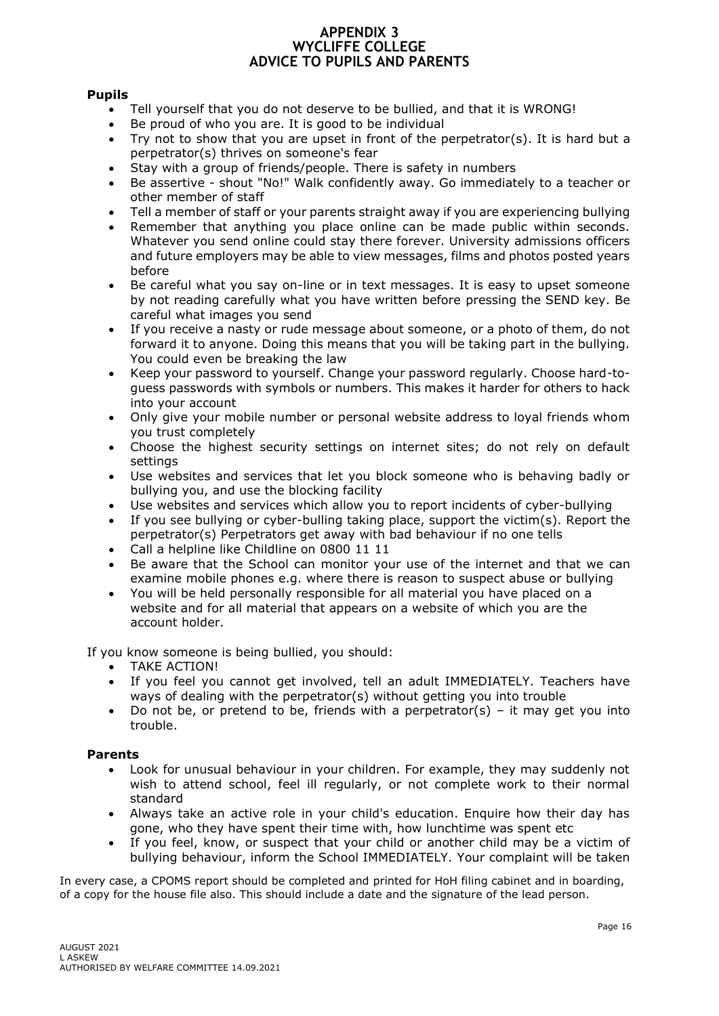## **APPENDIX 3 WYCLIFFE COLLEGE ADVICE TO PUPILS AND PARENTS**

# **Pupils**

- Tell yourself that you do not deserve to be bullied, and that it is WRONG!
- Be proud of who you are. It is good to be individual
- Try not to show that you are upset in front of the perpetrator(s). It is hard but a perpetrator(s) thrives on someone's fear
- Stay with a group of friends/people. There is safety in numbers
- Be assertive shout "No!" Walk confidently away. Go immediately to a teacher or other member of staff
- Tell a member of staff or your parents straight away if you are experiencing bullying
- Remember that anything you place online can be made public within seconds. Whatever you send online could stay there forever. University admissions officers and future employers may be able to view messages, films and photos posted years before
- Be careful what you say on-line or in text messages. It is easy to upset someone by not reading carefully what you have written before pressing the SEND key. Be careful what images you send
- If you receive a nasty or rude message about someone, or a photo of them, do not forward it to anyone. Doing this means that you will be taking part in the bullying. You could even be breaking the law
- Keep your password to yourself. Change your password regularly. Choose hard-toguess passwords with symbols or numbers. This makes it harder for others to hack into your account
- Only give your mobile number or personal website address to loyal friends whom you trust completely
- Choose the highest security settings on internet sites; do not rely on default settings
- Use websites and services that let you block someone who is behaving badly or bullying you, and use the blocking facility
- Use websites and services which allow you to report incidents of cyber-bullying
- If you see bullying or cyber-bulling taking place, support the victim(s). Report the perpetrator(s) Perpetrators get away with bad behaviour if no one tells
- Call a helpline like Childline on 0800 11 11
- Be aware that the School can monitor your use of the internet and that we can examine mobile phones e.g. where there is reason to suspect abuse or bullying
- You will be held personally responsible for all material you have placed on a website and for all material that appears on a website of which you are the account holder.

If you know someone is being bullied, you should:

- TAKE ACTION!
- If you feel you cannot get involved, tell an adult IMMEDIATELY. Teachers have ways of dealing with the perpetrator(s) without getting you into trouble
- Do not be, or pretend to be, friends with a perpetrator(s) it may get you into trouble.

## **Parents**

- Look for unusual behaviour in your children. For example, they may suddenly not wish to attend school, feel ill regularly, or not complete work to their normal standard
- Always take an active role in your child's education. Enquire how their day has gone, who they have spent their time with, how lunchtime was spent etc
- If you feel, know, or suspect that your child or another child may be a victim of bullying behaviour, inform the School IMMEDIATELY. Your complaint will be taken

In every case, a CPOMS report should be completed and printed for HoH filing cabinet and in boarding, of a copy for the house file also. This should include a date and the signature of the lead person.